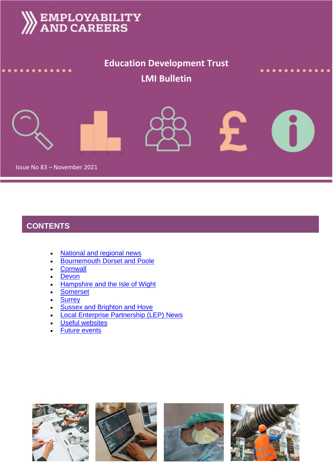# **EMPLOYABILITY**<br>AND CAREERS **Education Development Trust LMI Bulletin** F

Issue No 83 – November 2021

# **CONTENTS**

- [National and regional news](#page-1-0)
- Bournemouth [Dorset and Poole](#page-4-0)
- [Cornwall](#page-5-0)
- [Devon](#page-5-1)
- [Hampshire and the Isle of Wight](#page-6-0)
- [Somerset](#page-6-1)
- [Surrey](#page-7-0)
- **Sussex and [Brighton and Hove](#page-8-0)**
- **[Local Enterprise Partnership \(LEP\)](#page-8-1) News**
- [Useful websites](#page-9-0)
- **[Future events](#page-9-1)**

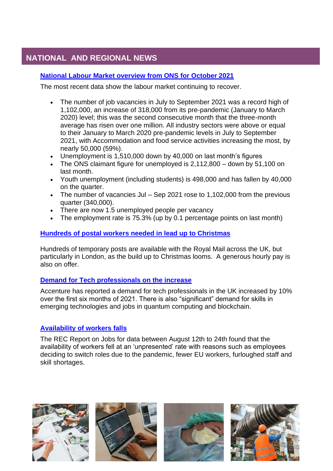# **NATIONAL AND REGIONAL NEWS**

## **[National Labour Market overview from ONS for October 2021](https://www.ons.gov.uk/employmentandlabourmarket/peopleinwork/employmentandemployeetypes/bulletins/uklabourmarket/october2021)**

The most recent data show the labour market continuing to recover.

- <span id="page-1-0"></span>The number of job vacancies in July to September 2021 was a record high of 1,102,000, an increase of 318,000 from its pre-pandemic (January to March 2020) level; this was the second consecutive month that the three-month average has risen over one million. All industry sectors were above or equal to their January to March 2020 pre-pandemic levels in July to September 2021, with Accommodation and food service activities increasing the most, by nearly 50,000 (59%).
- Unemployment is 1,510,000 down by 40,000 on last month's figures
- The ONS claimant figure for unemployed is 2,112,800 down by 51,100 on last month.
- Youth unemployment (including students) is 498,000 and has fallen by 40,000 on the quarter.
- The number of vacancies Jul Sep 2021 rose to 1,102,000 from the previous quarter (340,000).
- There are now 1.5 unemployed people per vacancy
- The employment rate is 75.3% (up by 0.1 percentage points on last month)

## **[Hundreds of postal workers needed in lead up to Christmas](https://www.mylondon.news/lifestyle/hundreds-royal-mail-temporary-christmas-21791356.amp)**

Hundreds of temporary posts are available with the Royal Mail across the UK, but particularly in London, as the build up to Christmas looms. A generous hourly pay is also on offer.

## **[Demand for Tech professionals on the increase](https://www.itpro.co.uk/business-strategy/careers-training/360952/uk-tech-jobs-increase-forfirst-time-since-pandemic)**

Accenture has reported a demand for tech professionals in the UK increased by 10% over the first six months of 2021. There is also "significant" demand for skills in emerging technologies and jobs in quantum computing and blockchain.

## **[Availability of workers falls](https://www.rec.uk.com/our-view/news/press-releases/report-jobs-hiring-activity-growth-accelerates-august-candidate-supply-drops-record-pace)**

The REC Report on Jobs for data between August 12th to 24th found that the availability of workers fell at an 'unpresented' rate with reasons such as employees deciding to switch roles due to the pandemic, fewer EU workers, furloughed staff and skill shortages.

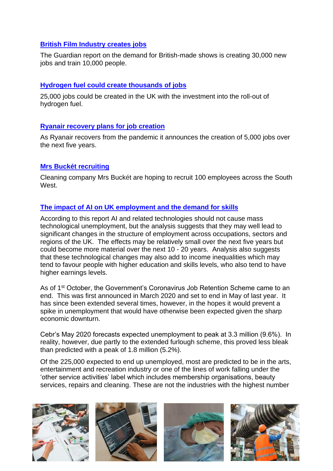## **[British Film Industry creates jobs](https://www.theguardian.com/media/2021/sep/12/streaming-demand-for-uk-shows-will-create-30000-film-and-tv-jobs)**

The Guardian report on the demand for British-made shows is creating 30,000 new jobs and train 10,000 people.

## **[Hydrogen fuel could create thousands of jobs](https://www.devonlive.com/news/uk-world-news/hydrogen-investment-could-create-25000-5911193)**

25,000 jobs could be created in the UK with the investment into the roll-out of hydrogen fuel.

## **[Ryanair recovery plans for job creation](https://www.independent.co.uk/business/ryanair-to-create-5-000-jobs-over-five-years-b1921138.html)**

As Ryanair recovers from the pandemic it announces the creation of 5,000 jobs over the next five years.

## **[Mrs Buckét recruiting](https://www.businessleader.co.uk/mrs-bucket-launches-first-recruitment-drive-hoping-to-recruit-100-new-employees/)**

Cleaning company Mrs Buckét are hoping to recruit 100 employees across the South West

## **[The impact of AI on UK employment and the demand for skills](https://assets.publishing.service.gov.uk/government/uploads/system/uploads/attachment_data/file/1023590/impact-of-ai-on-jobs.pdf)**

According to this report AI and related technologies should not cause mass technological unemployment, but the analysis suggests that they may well lead to significant changes in the structure of employment across occupations, sectors and regions of the UK. The effects may be relatively small over the next five years but could become more material over the next 10 - 20 years. Analysis also suggests that these technological changes may also add to income inequalities which may tend to favour people with higher education and skills levels, who also tend to have higher earnings levels.

As of 1<sup>st</sup> October, the Government's Coronavirus Job Retention Scheme came to an end. This was first announced in March 2020 and set to end in May of last year. It has since been extended several times, however, in the hopes it would prevent a spike in unemployment that would have otherwise been expected given the sharp economic downturn.

Cebr's May 2020 forecasts expected unemployment to peak at 3.3 million (9.6%). In reality, however, due partly to the extended furlough scheme, this proved less bleak than predicted with a peak of 1.8 million (5.2%).

Of the 225,000 expected to end up unemployed, most are predicted to be in the arts, entertainment and recreation industry or one of the lines of work falling under the 'other service activities' label which includes membership organisations, beauty services, repairs and cleaning. These are not the industries with the highest number

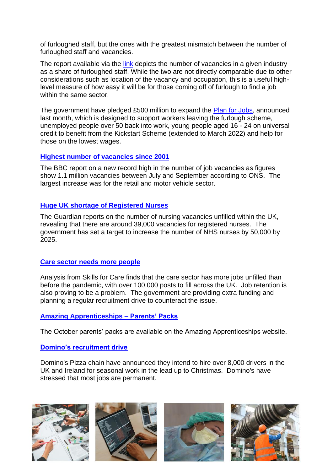of furloughed staff, but the ones with the greatest mismatch between the number of furloughed staff and vacancies.

The report available via the [link](https://cebr.com/reports/1-in-5-furloughed-workers-set-to-become-unemployed-with-those-in-arts-and-entertainment-especially-vulnerable/) depicts the number of vacancies in a given industry as a share of furloughed staff. While the two are not directly comparable due to other considerations such as location of the vacancy and occupation, this is a useful highlevel measure of how easy it will be for those coming off of furlough to find a job within the same sector.

The government have pledged £500 million to expand the [Plan for Jobs,](https://www.gov.uk/government/news/500-million-plan-for-jobs-expansion) announced last month, which is designed to support workers leaving the furlough scheme, unemployed people over 50 back into work, young people aged 16 - 24 on universal credit to benefit from the K[ickstart Scheme \(extended to March 2022\) and help for](https://www.bbc.co.uk/news/business-58881124)  those on the lowest wages.

## **[Highest number of vacancies since 2001](https://www.bbc.co.uk/news/business-58881124)**

The BBC report on a new record high in the number of job vacancies as figures show 1.1 million vacancies between July and September according to ONS. The largest increase was for the retail and motor vehicle sector.

## **[Huge UK shortage of Registered Nurses](https://amp.theguardian.com/society/2021/oct/09/nursing-crisis-sweeps-wards-as-nhs-battles-to-find-recruits)**

The Guardian reports on the number of nursing vacancies unfilled within the UK, revealing that there are around 39,000 vacancies for registered nurses. The government has set a target to increase the number of NHS nurses by 50,000 by 2025.

## **[Care sector needs more people](https://www.bbc.co.uk/news/health-58884651)**

Analysis from Skills for Care finds that the care sector has more jobs unfilled than before the pandemic, with over 100,000 posts to fill across the UK. Job retention is also proving to be a problem. The government are providing extra funding and planning a regular recruitment drive to counteract the issue.

## **[Amazing Apprenticeships –](https://amazingapprenticeships.com/resource/parents-and-carers-pack-october-21/) Parents' Packs**

The October parents' packs are available on the Amazing Apprenticeships website.

## **[Domino's recruitment drive](https://www.bbc.co.uk/news/business-58910124)**

Domino's Pizza chain have announced they intend to hire over 8,000 drivers in the UK and Ireland for seasonal work in the lead up to Christmas. Domino's have stressed that most jobs are permanent.

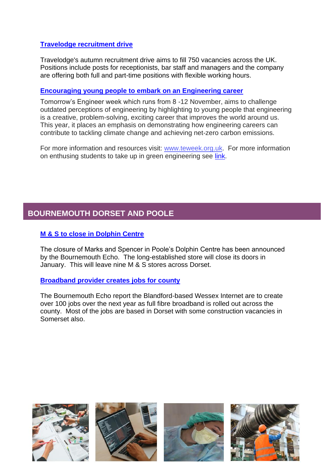## **[Travelodge recruitment drive](https://www.plymouthherald.co.uk/news/uk-world-news/travelodge-recruiting-750-people-across-5955968)**

Travelodge's autumn recruitment drive aims to fill 750 vacancies across the UK. Positions include posts for receptionists, bar staff and managers and the company are offering both full and part-time positions with flexible working hours.

## **[Encouraging young people to embark on an Engineering career](https://teweek.org.uk/)**

Tomorrow's Engineer week which runs from 8 -12 November, aims to challenge outdated perceptions of engineering by highlighting to young people that engineering is a creative, problem-solving, exciting career that improves the world around us. This year, it places an emphasis on demonstrating how engineering careers can contribute to tackling climate change and achieving net-zero carbon emissions.

For more information and resources visit: [www.teweek.org.uk.](http://www.teweek.org.uk/) For more information on enthusing students to take up in green engineering see [link.](https://www.tes.com/news/spark-pupil-interest-green-engineering-jobs-schools-climate-change-design-technology)

# <span id="page-4-0"></span>**BOURNEMOUTH DORSET AND POOLE**

## **[M & S to close in Dolphin Centre](https://www.bournemouthecho.co.uk/news/19642456.marks-spencer-pooles-dolphin-centre-close-january/)**

The closure of Marks and Spencer in Poole's Dolphin Centre has been announced by the Bournemouth Echo. The long-established store will close its doors in January. This will leave nine M & S stores across Dorset.

## **[Broadband provider creates jobs for county](https://www.bournemouthecho.co.uk/news/19597324.jobs-created-full-fibre-broadband-provider-wessex-internet/)**

The Bournemouth Echo report the Blandford-based Wessex Internet are to create over 100 jobs over the next year as full fibre broadband is rolled out across the county. Most of the jobs are based in Dorset with some construction vacancies in Somerset also.

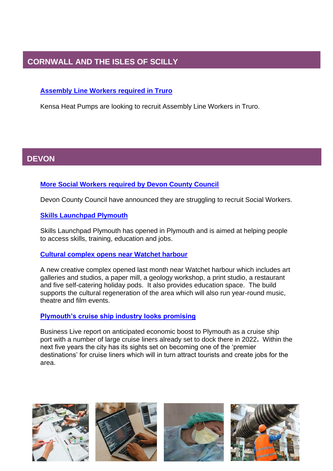# <span id="page-5-0"></span>**CORNWALL AND THE ISLES OF SCILLY**

## **[Assembly Line Workers required in Truro](https://www.inyourarea.co.uk/news/chacewater-eco-manufacturing-firm-launches-recruitment-drive/)**

Kensa Heat Pumps are looking to recruit Assembly Line Workers in Truro.

#### <span id="page-5-1"></span>**S DEVON**

## **[More Social Workers required by Devon County Council](https://www.bbc.co.uk/news/uk-england-devon-58514586)**

Devon County Council have announced they are struggling to recruit Social Workers.

## **[Skills Launchpad Plymouth](https://www.business-live.co.uk/enterprise/plymouths-skills-launchpad-opens-bid-21595671)**

Skills Launchpad Plymouth has opened in Plymouth and is aimed at helping people to access skills, training, education and jobs.

## **[Cultural complex opens near Watchet harbour](https://www.onioncollective.co.uk/eastquay-development-watchet)**

A new creative complex opened last month near Watchet harbour which includes art galleries and studios, a paper mill, a geology workshop, a print studio, a restaurant and five self-catering holiday pods. It also provides education space. The build supports the cultural regeneration of the area which will also run year-round music, theatre and film events.

## **[Plymouth's cruise ship industry looks promising](https://www.business-live.co.uk/economic-development/cruise-ship-visits-set-bring-21718582)**

Business Live report on anticipated economic boost to Plymouth as a cruise ship port with a number of large cruise liners already set to dock there in 2022**.** Within the next five years the city has its sights set on becoming one of the 'premier destinations' for cruise liners which will in turn attract tourists and create jobs for the area.

![](_page_5_Picture_12.jpeg)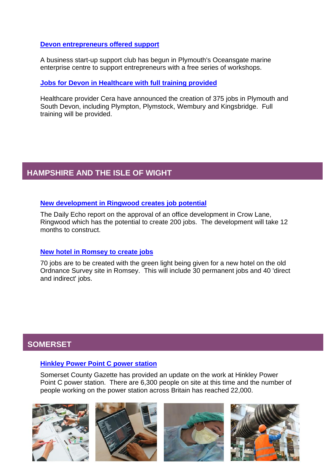**[Devon entrepreneurs offered support](https://www.business-live.co.uk/enterprise/plymouths-oceansgate-marine-enterprise-centre-21806004)**

A business start-up support club has begun in Plymouth's Oceansgate marine enterprise centre to support entrepreneurs with a free series of workshops.

**Jobs for Devon in [Healthcare with full training provided](https://www.devonlive.com/news/devon-news/uk-digital-care-firm-create-5998060)**

Healthcare provider Cera have announced the creation of 375 jobs in Plymouth and South Devon, including Plympton, Plymstock, Wembury and Kingsbridge. Full training will be provided.

# <span id="page-6-0"></span>**HAMPSHIRE AND THE ISLE OF WIGHT**

## **[New development in Ringwood creates job potential](https://www.bournemouthecho.co.uk/news/19585417.multi-million-pound-office-development-approved-ringwood/)**

The Daily Echo report on the approval of an office development in Crow Lane, Ringwood which has the potential to create 200 jobs. The development will take 12 months to construct.

## **[New hotel in Romsey to create jobs](https://www.dailyecho.co.uk/news/19645652.hotel-plans-former-ordnance-survey-site-approved/)**

70 jobs are to be created with the green light being given for a new hotel on the old Ordnance Survey site in Romsey. This will include 30 permanent jobs and 40 'direct and indirect' jobs.

# <span id="page-6-1"></span>**SOMERSET**

## **[Hinkley Power Point C power station](https://www.somersetcountygazette.co.uk/news/19609958.3-600-firms-22-000-workers-growing---five-years-18bn-hinkley-c-construction/)**

Somerset County Gazette has provided an update on the work at Hinkley Power Point C power station. There are 6,300 people on site at this time and the number of people working on the power station across Britain has reached 22,000.

![](_page_6_Picture_12.jpeg)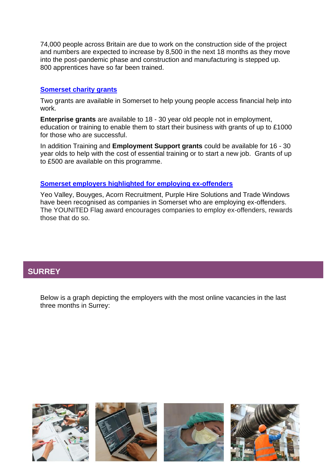74,000 people across Britain are due to work on the construction side of the project and numbers are expected to increase by 8,500 in the next 18 months as they move into the post-pandemic phase and construction and manufacturing is stepped up. 800 apprentices have so far been trained.

## **[Somerset charity grants](https://www.inyourarea.co.uk/news/grants-available-to-boost-new-business-for-young-people-in-somerset/)**

Two grants are available in Somerset to help young people access financial help into work.

**Enterprise grants** are available to 18 - 30 year old people not in employment, education or training to enable them to start their business with grants of up to £1000 for those who are successful.

In addition Training and **Employment Support grants** could be available for 16 - 30 year olds to help with the cost of essential training or to start a new job. Grants of up to £500 are available on this programme.

## **[Somerset employers highlighted for employing ex-offenders](https://www.somersetlive.co.uk/news/ex-offenders-offered-second-chance-5992244)**

Yeo Valley, Bouyges, Acorn Recruitment, Purple Hire Solutions and Trade Windows have been recognised as companies in Somerset who are employing ex-offenders. The YOUNITED Flag award encourages companies to employ ex-offenders, rewards those that do so.

# <span id="page-7-0"></span>**SURREY**

Below is a graph depicting the employers with the most online vacancies in the last three months in Surrey:

![](_page_7_Picture_9.jpeg)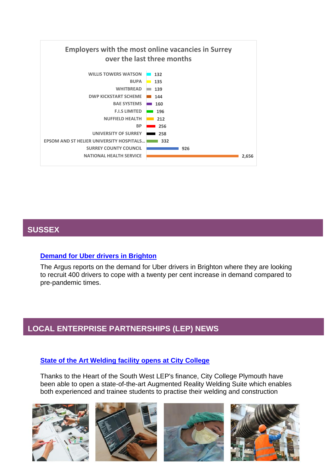![](_page_8_Figure_0.jpeg)

# <span id="page-8-0"></span>**SUSSEX**

## **[Demand for Uber drivers in Brighton](https://www.theargus.co.uk/news/19594217.uber-recruiting-drivers-brighton-demand-increases-20-percent/)**

The Argus reports on the demand for Uber drivers in Brighton where they are looking to recruit 400 drivers to cope with a twenty per cent increase in demand compared to pre-pandemic times.

# <span id="page-8-1"></span>**LOCAL ENTERPRISE PARTNERSHIPS (LEP) NEWS**

## **[State of the Art Welding facility opens at City College](https://heartofswlep.co.uk/news/city-college-plymouth-opens-new-futuristic-augmented-reality-welding-suite/)**

Thanks to the Heart of the South West LEP's finance, City College Plymouth have been able to open a state-of-the-art Augmented Reality Welding Suite which enables both experienced and trainee students to practise their welding and construction

![](_page_8_Picture_7.jpeg)

![](_page_8_Picture_8.jpeg)

![](_page_8_Picture_9.jpeg)

![](_page_8_Picture_10.jpeg)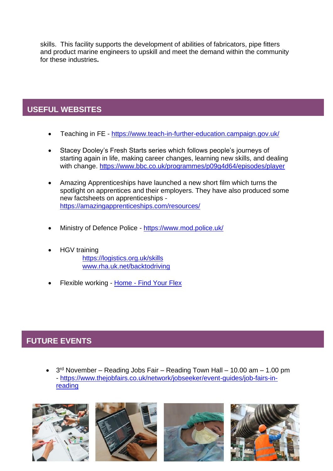skills. This facility supports the development of abilities of fabricators, pipe fitters and product marine engineers to upskill and meet the demand within the community for these industries**.**

# <span id="page-9-0"></span>**USEFUL WEBSITES**

- Teaching in FE <https://www.teach-in-further-education.campaign.gov.uk/>
- Stacey Dooley's Fresh Starts series which follows people's journeys of starting again in life, making career changes, learning new skills, and dealing with change.<https://www.bbc.co.uk/programmes/p09g4d64/episodes/player>
- Amazing Apprenticeships have launched a new short film which turns the spotlight on apprentices and their employers. They have also produced some new factsheets on apprenticeships <https://amazingapprenticeships.com/resources/>
- Ministry of Defence Police <https://www.mod.police.uk/>
- HGV training <https://logistics.org.uk/skills> [www.rha.uk.net/backtodriving](http://www.rha.uk.net/backtodriving)
- Flexible working Home [Find Your Flex](https://jobs.findyourflex.co.uk/)

# <span id="page-9-1"></span>**FUTURE EVENTS**

•  $3<sup>rd</sup>$  November – Reading Jobs Fair – Reading Town Hall – 10.00 am – 1.00 pm - [https://www.thejobfairs.co.uk/network/jobseeker/event-guides/job-fairs-in](https://www.thejobfairs.co.uk/network/jobseeker/event-guides/job-fairs-in-reading)[reading](https://www.thejobfairs.co.uk/network/jobseeker/event-guides/job-fairs-in-reading)

![](_page_9_Picture_10.jpeg)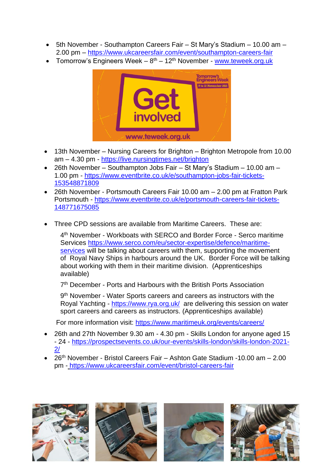- 5th November Southampton Careers Fair St Mary's Stadium 10.00 am 2.00 pm – <https://www.ukcareersfair.com/event/southampton-careers-fair>
- Tomorrow's Engineers Week 8<sup>th</sup> 12<sup>th</sup> November [www.teweek.org.uk](http://www.teweek.org.uk/)

![](_page_10_Picture_2.jpeg)

- 13th November Nursing Careers for Brighton Brighton Metropole from 10.00 am – 4.30 pm - <https://live.nursingtimes.net/brighton>
- 26th November Southampton Jobs Fair St Mary's Stadium 10.00 am 1.00 pm - [https://www.eventbrite.co.uk/e/southampton-jobs-fair-tickets-](https://www.eventbrite.co.uk/e/southampton-jobs-fair-tickets-153548871809)[153548871809](https://www.eventbrite.co.uk/e/southampton-jobs-fair-tickets-153548871809)
- 26th November Portsmouth Careers Fair 10.00 am 2.00 pm at Fratton Park Portsmouth - [https://www.eventbrite.co.uk/e/portsmouth-careers-fair-tickets-](https://www.eventbrite.co.uk/e/portsmouth-careers-fair-tickets-148771675085)[148771675085](https://www.eventbrite.co.uk/e/portsmouth-careers-fair-tickets-148771675085)
- Three CPD sessions are available from Maritime Careers. These are:

4 th November - Workboats with SERCO and Border Force - Serco maritime Services [https://www.serco.com/eu/sector-expertise/defence/maritime](https://protect-eu.mimecast.com/s/DS7kCnxp4C7J3BXH9vylc?domain=serco.com)[services](https://protect-eu.mimecast.com/s/DS7kCnxp4C7J3BXH9vylc?domain=serco.com) will be talking about careers with them, supporting the movement of Royal Navy Ships in harbours around the UK. Border Force will be talking about working with them in their maritime division. (Apprenticeships available)

7<sup>th</sup> December - Ports and Harbours with the British Ports Association

9<sup>th</sup> November - Water Sports careers and careers as instructors with the Royal Yachting - <https://www.rya.org.uk/> are delivering this session on water sport careers and careers as instructors. (Apprenticeships available)

For more information visit: [https://www.maritimeuk.org/events/careers/](https://protect-eu.mimecast.com/s/pYnLC1W8AiMR0lBSL0D1l?domain=maritimeuk.org/)

- 26th and 27th November 9.30 am 4.30 pm Skills London for anyone aged 15 - 24 - [https://prospectsevents.co.uk/our-events/skills-london/skills-london-2021-](https://prospectsevents.co.uk/our-events/skills-london/skills-london-2021-2/) [2/](https://prospectsevents.co.uk/our-events/skills-london/skills-london-2021-2/)
- 26th November Bristol Careers Fair Ashton Gate Stadium -10.00 am 2.00 pm - <https://www.ukcareersfair.com/event/bristol-careers-fair>

![](_page_10_Picture_13.jpeg)